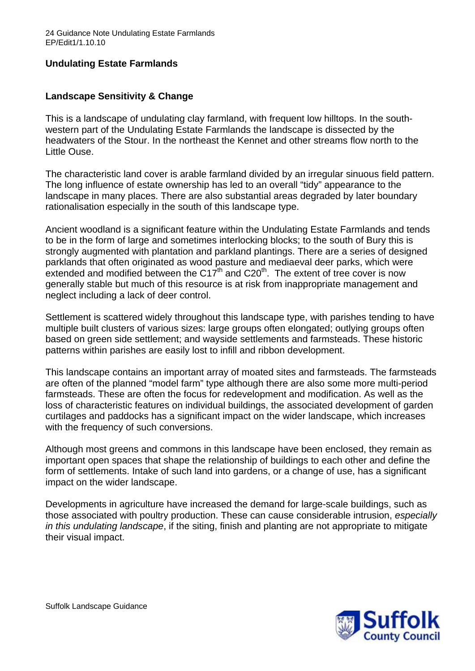# **Undulating Estate Farmlands**

## **Landscape Sensitivity & Change**

This is a landscape of undulating clay farmland, with frequent low hilltops. In the southwestern part of the Undulating Estate Farmlands the landscape is dissected by the headwaters of the Stour. In the northeast the Kennet and other streams flow north to the Little Ouse.

The characteristic land cover is arable farmland divided by an irregular sinuous field pattern. The long influence of estate ownership has led to an overall "tidy" appearance to the landscape in many places. There are also substantial areas degraded by later boundary rationalisation especially in the south of this landscape type.

Ancient woodland is a significant feature within the Undulating Estate Farmlands and tends to be in the form of large and sometimes interlocking blocks; to the south of Bury this is strongly augmented with plantation and parkland plantings. There are a series of designed parklands that often originated as wood pasture and mediaeval deer parks, which were extended and modified between the C17<sup>th</sup> and C20<sup>th</sup>. The extent of tree cover is now generally stable but much of this resource is at risk from inappropriate management and neglect including a lack of deer control.

Settlement is scattered widely throughout this landscape type, with parishes tending to have multiple built clusters of various sizes: large groups often elongated; outlying groups often based on green side settlement; and wayside settlements and farmsteads. These historic patterns within parishes are easily lost to infill and ribbon development.

This landscape contains an important array of moated sites and farmsteads. The farmsteads are often of the planned "model farm" type although there are also some more multi-period farmsteads. These are often the focus for redevelopment and modification. As well as the loss of characteristic features on individual buildings, the associated development of garden curtilages and paddocks has a significant impact on the wider landscape, which increases with the frequency of such conversions.

Although most greens and commons in this landscape have been enclosed, they remain as important open spaces that shape the relationship of buildings to each other and define the form of settlements. Intake of such land into gardens, or a change of use, has a significant impact on the wider landscape.

Developments in agriculture have increased the demand for large-scale buildings, such as those associated with poultry production. These can cause considerable intrusion, *especially in this undulating landscape*, if the siting, finish and planting are not appropriate to mitigate their visual impact.

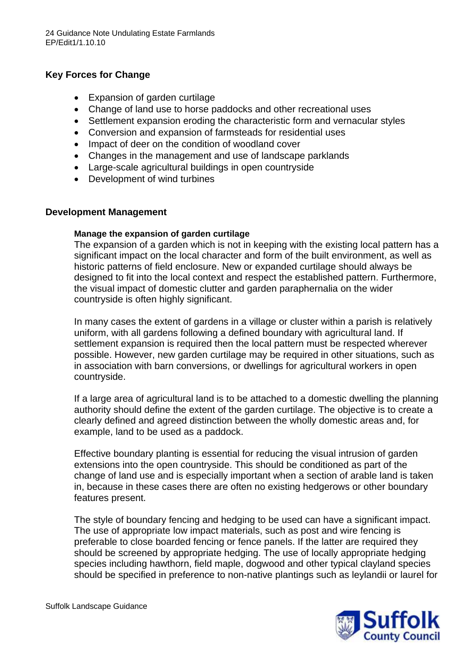## **Key Forces for Change**

- Expansion of garden curtilage
- Change of land use to horse paddocks and other recreational uses
- Settlement expansion eroding the characteristic form and vernacular styles
- Conversion and expansion of farmsteads for residential uses
- Impact of deer on the condition of woodland cover
- Changes in the management and use of landscape parklands
- Large-scale agricultural buildings in open countryside
- Development of wind turbines

### **Development Management**

### **Manage the expansion of garden curtilage**

The expansion of a garden which is not in keeping with the existing local pattern has a significant impact on the local character and form of the built environment, as well as historic patterns of field enclosure. New or expanded curtilage should always be designed to fit into the local context and respect the established pattern. Furthermore, the visual impact of domestic clutter and garden paraphernalia on the wider countryside is often highly significant.

In many cases the extent of gardens in a village or cluster within a parish is relatively uniform, with all gardens following a defined boundary with agricultural land. If settlement expansion is required then the local pattern must be respected wherever possible. However, new garden curtilage may be required in other situations, such as in association with barn conversions, or dwellings for agricultural workers in open countryside.

If a large area of agricultural land is to be attached to a domestic dwelling the planning authority should define the extent of the garden curtilage. The objective is to create a clearly defined and agreed distinction between the wholly domestic areas and, for example, land to be used as a paddock.

Effective boundary planting is essential for reducing the visual intrusion of garden extensions into the open countryside. This should be conditioned as part of the change of land use and is especially important when a section of arable land is taken in, because in these cases there are often no existing hedgerows or other boundary features present.

The style of boundary fencing and hedging to be used can have a significant impact. The use of appropriate low impact materials, such as post and wire fencing is preferable to close boarded fencing or fence panels. If the latter are required they should be screened by appropriate hedging. The use of locally appropriate hedging species including hawthorn, field maple, dogwood and other typical clayland species should be specified in preference to non-native plantings such as leylandii or laurel for



Suffolk Landscape Guidance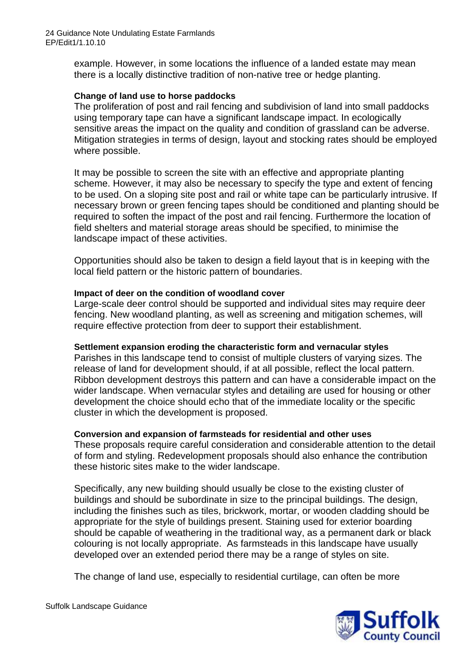example. However, in some locations the influence of a landed estate may mean there is a locally distinctive tradition of non-native tree or hedge planting.

## **Change of land use to horse paddocks**

The proliferation of post and rail fencing and subdivision of land into small paddocks using temporary tape can have a significant landscape impact. In ecologically sensitive areas the impact on the quality and condition of grassland can be adverse. Mitigation strategies in terms of design, layout and stocking rates should be employed where possible.

It may be possible to screen the site with an effective and appropriate planting scheme. However, it may also be necessary to specify the type and extent of fencing to be used. On a sloping site post and rail or white tape can be particularly intrusive. If necessary brown or green fencing tapes should be conditioned and planting should be required to soften the impact of the post and rail fencing. Furthermore the location of field shelters and material storage areas should be specified, to minimise the landscape impact of these activities.

Opportunities should also be taken to design a field layout that is in keeping with the local field pattern or the historic pattern of boundaries.

#### **Impact of deer on the condition of woodland cover**

Large-scale deer control should be supported and individual sites may require deer fencing. New woodland planting, as well as screening and mitigation schemes, will require effective protection from deer to support their establishment.

#### **Settlement expansion eroding the characteristic form and vernacular styles**

Parishes in this landscape tend to consist of multiple clusters of varying sizes. The release of land for development should, if at all possible, reflect the local pattern. Ribbon development destroys this pattern and can have a considerable impact on the wider landscape. When vernacular styles and detailing are used for housing or other development the choice should echo that of the immediate locality or the specific cluster in which the development is proposed.

#### **Conversion and expansion of farmsteads for residential and other uses**

These proposals require careful consideration and considerable attention to the detail of form and styling. Redevelopment proposals should also enhance the contribution these historic sites make to the wider landscape.

Specifically, any new building should usually be close to the existing cluster of buildings and should be subordinate in size to the principal buildings. The design, including the finishes such as tiles, brickwork, mortar, or wooden cladding should be appropriate for the style of buildings present. Staining used for exterior boarding should be capable of weathering in the traditional way, as a permanent dark or black colouring is not locally appropriate. As farmsteads in this landscape have usually developed over an extended period there may be a range of styles on site.

The change of land use, especially to residential curtilage, can often be more



Suffolk Landscape Guidance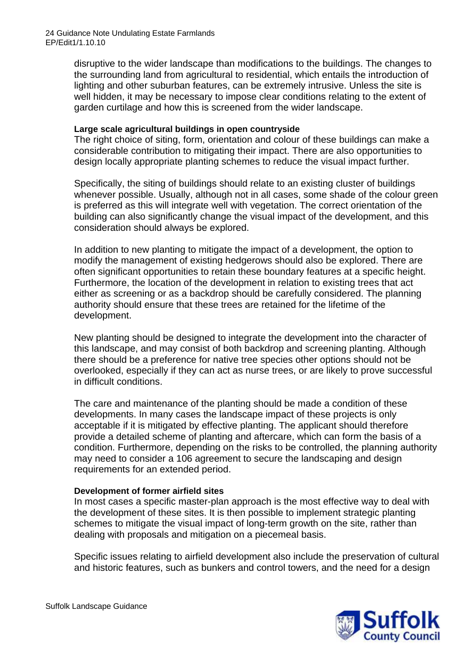disruptive to the wider landscape than modifications to the buildings. The changes to the surrounding land from agricultural to residential, which entails the introduction of lighting and other suburban features, can be extremely intrusive. Unless the site is well hidden, it may be necessary to impose clear conditions relating to the extent of garden curtilage and how this is screened from the wider landscape.

#### **Large scale agricultural buildings in open countryside**

The right choice of siting, form, orientation and colour of these buildings can make a considerable contribution to mitigating their impact. There are also opportunities to design locally appropriate planting schemes to reduce the visual impact further.

Specifically, the siting of buildings should relate to an existing cluster of buildings whenever possible. Usually, although not in all cases, some shade of the colour green is preferred as this will integrate well with vegetation. The correct orientation of the building can also significantly change the visual impact of the development, and this consideration should always be explored.

In addition to new planting to mitigate the impact of a development, the option to modify the management of existing hedgerows should also be explored. There are often significant opportunities to retain these boundary features at a specific height. Furthermore, the location of the development in relation to existing trees that act either as screening or as a backdrop should be carefully considered. The planning authority should ensure that these trees are retained for the lifetime of the development.

New planting should be designed to integrate the development into the character of this landscape, and may consist of both backdrop and screening planting. Although there should be a preference for native tree species other options should not be overlooked, especially if they can act as nurse trees, or are likely to prove successful in difficult conditions.

The care and maintenance of the planting should be made a condition of these developments. In many cases the landscape impact of these projects is only acceptable if it is mitigated by effective planting. The applicant should therefore provide a detailed scheme of planting and aftercare, which can form the basis of a condition. Furthermore, depending on the risks to be controlled, the planning authority may need to consider a 106 agreement to secure the landscaping and design requirements for an extended period.

## **Development of former airfield sites**

In most cases a specific master-plan approach is the most effective way to deal with the development of these sites. It is then possible to implement strategic planting schemes to mitigate the visual impact of long-term growth on the site, rather than dealing with proposals and mitigation on a piecemeal basis.

Specific issues relating to airfield development also include the preservation of cultural and historic features, such as bunkers and control towers, and the need for a design